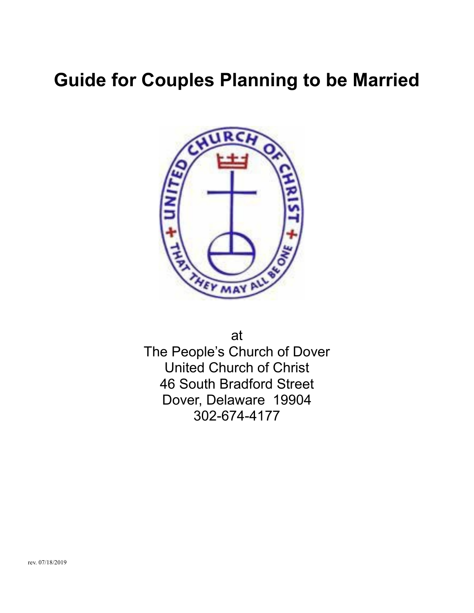# **Guide for Couples Planning to be Married**



at

The People's Church of Dover United Church of Christ 46 South Bradford Street Dover, Delaware 19904 302-674-4177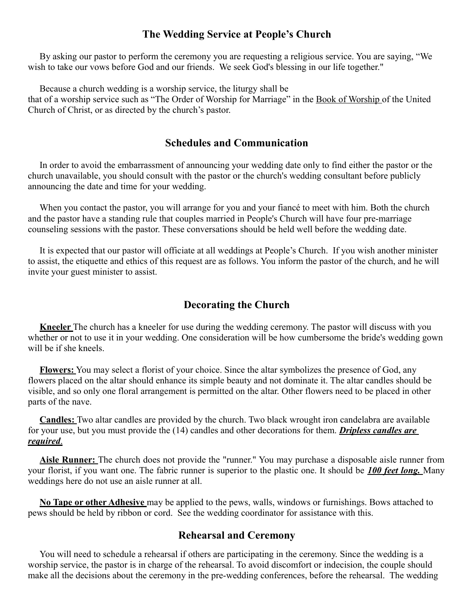#### **The Wedding Service at People's Church**

By asking our pastor to perform the ceremony you are requesting a religious service. You are saying, "We wish to take our vows before God and our friends. We seek God's blessing in our life together."

Because a church wedding is a worship service, the liturgy shall be

that of a worship service such as "The Order of Worship for Marriage" in the Book of Worship of the United Church of Christ, or as directed by the church's pastor.

#### **Schedules and Communication**

In order to avoid the embarrassment of announcing your wedding date only to find either the pastor or the church unavailable, you should consult with the pastor or the church's wedding consultant before publicly announcing the date and time for your wedding.

When you contact the pastor, you will arrange for you and your fiancé to meet with him. Both the church and the pastor have a standing rule that couples married in People's Church will have four pre-marriage counseling sessions with the pastor. These conversations should be held well before the wedding date.

It is expected that our pastor will officiate at all weddings at People's Church. If you wish another minister to assist, the etiquette and ethics of this request are as follows. You inform the pastor of the church, and he will invite your guest minister to assist.

#### **Decorating the Church**

**Kneeler** The church has a kneeler for use during the wedding ceremony. The pastor will discuss with you whether or not to use it in your wedding. One consideration will be how cumbersome the bride's wedding gown will be if she kneels.

**Flowers:** You may select a florist of your choice. Since the altar symbolizes the presence of God, any flowers placed on the altar should enhance its simple beauty and not dominate it. The altar candles should be visible, and so only one floral arrangement is permitted on the altar. Other flowers need to be placed in other parts of the nave.

**Candles:** Two altar candles are provided by the church. Two black wrought iron candelabra are available for your use, but you must provide the (14) candles and other decorations for them. *Dripless candles are required*.

**Aisle Runner:** The church does not provide the "runner." You may purchase a disposable aisle runner from your florist, if you want one. The fabric runner is superior to the plastic one. It should be *100 feet long.* Many weddings here do not use an aisle runner at all.

**No Tape or other Adhesive** may be applied to the pews, walls, windows or furnishings. Bows attached to pews should be held by ribbon or cord. See the wedding coordinator for assistance with this.

#### **Rehearsal and Ceremony**

You will need to schedule a rehearsal if others are participating in the ceremony. Since the wedding is a worship service, the pastor is in charge of the rehearsal. To avoid discomfort or indecision, the couple should make all the decisions about the ceremony in the pre-wedding conferences, before the rehearsal. The wedding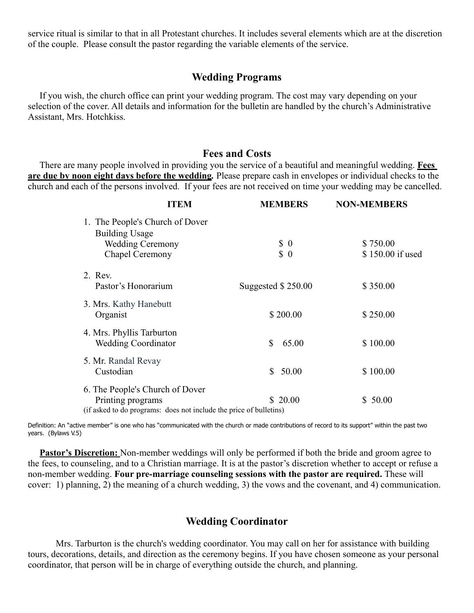service ritual is similar to that in all Protestant churches. It includes several elements which are at the discretion of the couple. Please consult the pastor regarding the variable elements of the service.

#### **Wedding Programs**

If you wish, the church office can print your wedding program. The cost may vary depending on your selection of the cover. All details and information for the bulletin are handled by the church's Administrative Assistant, Mrs. Hotchkiss.

#### **Fees and Costs**

There are many people involved in providing you the service of a beautiful and meaningful wedding. **Fees are due by noon eight days before the wedding***.* Please prepare cash in envelopes or individual checks to the church and each of the persons involved. If your fees are not received on time your wedding may be cancelled.

| <b>ITEM</b>                                                        | <b>MEMBERS</b>      | <b>NON-MEMBERS</b> |
|--------------------------------------------------------------------|---------------------|--------------------|
| 1. The People's Church of Dover<br><b>Building Usage</b>           |                     |                    |
| <b>Wedding Ceremony</b>                                            | $\text{\$\,0$}$     | \$750.00           |
| Chapel Ceremony                                                    | $\frac{1}{2}$       | \$150.00 if used   |
| 2. Rev.                                                            |                     |                    |
| Pastor's Honorarium                                                | Suggested $$250.00$ | \$350.00           |
| 3. Mrs. Kathy Hanebutt                                             |                     |                    |
| Organist                                                           | \$200.00            | \$250.00           |
| 4. Mrs. Phyllis Tarburton                                          |                     |                    |
| <b>Wedding Coordinator</b>                                         | 65.00<br>\$         | \$100.00           |
| 5. Mr. Randal Revay                                                |                     |                    |
| Custodian                                                          | 50.00<br>S.         | \$100.00           |
| 6. The People's Church of Dover                                    |                     |                    |
| Printing programs                                                  | \$20.00             | \$50.00            |
| (if asked to do programs: does not include the price of bulletins) |                     |                    |

Definition: An "active member" is one who has "communicated with the church or made contributions of record to its support" within the past two years. (Bylaws V.5)

Pastor's Discretion: Non-member weddings will only be performed if both the bride and groom agree to the fees, to counseling, and to a Christian marriage. It is at the pastor's discretion whether to accept or refuse a non-member wedding. **Four pre-marriage counseling sessions with the pastor are required.** These will cover: 1) planning, 2) the meaning of a church wedding, 3) the vows and the covenant, and 4) communication.

### **Wedding Coordinator**

Mrs. Tarburton is the church's wedding coordinator. You may call on her for assistance with building tours, decorations, details, and direction as the ceremony begins. If you have chosen someone as your personal coordinator, that person will be in charge of everything outside the church, and planning.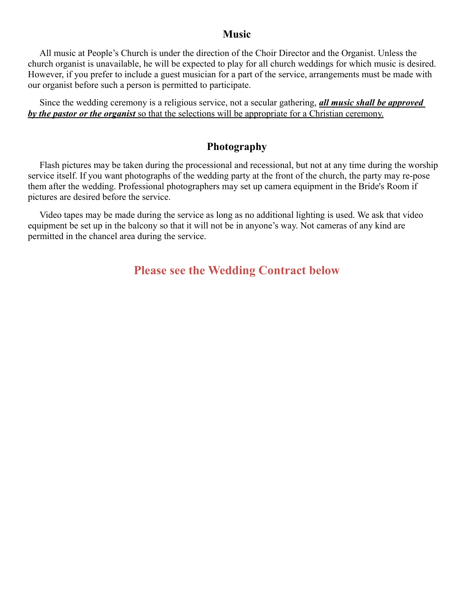#### **Music**

All music at People's Church is under the direction of the Choir Director and the Organist. Unless the church organist is unavailable, he will be expected to play for all church weddings for which music is desired. However, if you prefer to include a guest musician for a part of the service, arrangements must be made with our organist before such a person is permitted to participate.

Since the wedding ceremony is a religious service, not a secular gathering, *all music shall be approved by the pastor or the organist* so that the selections will be appropriate for a Christian ceremony.

## **Photography**

Flash pictures may be taken during the processional and recessional, but not at any time during the worship service itself. If you want photographs of the wedding party at the front of the church, the party may re-pose them after the wedding. Professional photographers may set up camera equipment in the Bride's Room if pictures are desired before the service.

Video tapes may be made during the service as long as no additional lighting is used. We ask that video equipment be set up in the balcony so that it will not be in anyone's way. Not cameras of any kind are permitted in the chancel area during the service.

# **Please see the Wedding Contract below**